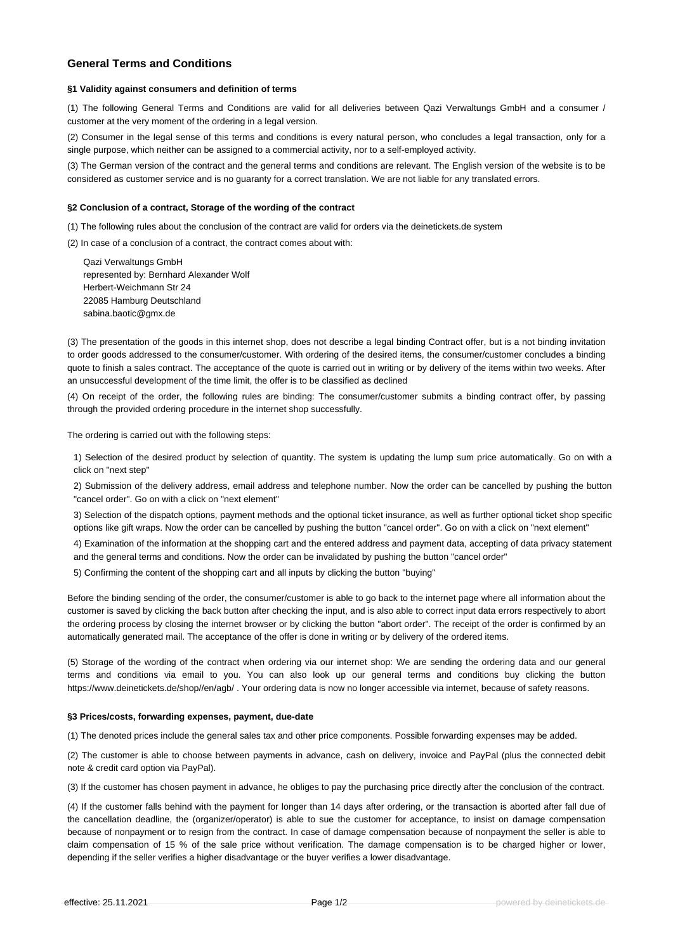# **General Terms and Conditions**

## **§1 Validity against consumers and definition of terms**

(1) The following General Terms and Conditions are valid for all deliveries between Qazi Verwaltungs GmbH and a consumer / customer at the very moment of the ordering in a legal version.

(2) Consumer in the legal sense of this terms and conditions is every natural person, who concludes a legal transaction, only for a single purpose, which neither can be assigned to a commercial activity, nor to a self-employed activity.

(3) The German version of the contract and the general terms and conditions are relevant. The English version of the website is to be considered as customer service and is no guaranty for a correct translation. We are not liable for any translated errors.

### **§2 Conclusion of a contract, Storage of the wording of the contract**

(1) The following rules about the conclusion of the contract are valid for orders via the deinetickets.de system

(2) In case of a conclusion of a contract, the contract comes about with:

Qazi Verwaltungs GmbH represented by: Bernhard Alexander Wolf Herbert-Weichmann Str 24 22085 Hamburg Deutschland sabina.baotic@gmx.de

(3) The presentation of the goods in this internet shop, does not describe a legal binding Contract offer, but is a not binding invitation to order goods addressed to the consumer/customer. With ordering of the desired items, the consumer/customer concludes a binding quote to finish a sales contract. The acceptance of the quote is carried out in writing or by delivery of the items within two weeks. After an unsuccessful development of the time limit, the offer is to be classified as declined

(4) On receipt of the order, the following rules are binding: The consumer/customer submits a binding contract offer, by passing through the provided ordering procedure in the internet shop successfully.

The ordering is carried out with the following steps:

1) Selection of the desired product by selection of quantity. The system is updating the lump sum price automatically. Go on with a click on "next step"

2) Submission of the delivery address, email address and telephone number. Now the order can be cancelled by pushing the button "cancel order". Go on with a click on "next element"

3) Selection of the dispatch options, payment methods and the optional ticket insurance, as well as further optional ticket shop specific options like gift wraps. Now the order can be cancelled by pushing the button "cancel order". Go on with a click on "next element"

4) Examination of the information at the shopping cart and the entered address and payment data, accepting of data privacy statement and the general terms and conditions. Now the order can be invalidated by pushing the button "cancel order"

5) Confirming the content of the shopping cart and all inputs by clicking the button "buying"

Before the binding sending of the order, the consumer/customer is able to go back to the internet page where all information about the customer is saved by clicking the back button after checking the input, and is also able to correct input data errors respectively to abort the ordering process by closing the internet browser or by clicking the button "abort order". The receipt of the order is confirmed by an automatically generated mail. The acceptance of the offer is done in writing or by delivery of the ordered items.

(5) Storage of the wording of the contract when ordering via our internet shop: We are sending the ordering data and our general terms and conditions via email to you. You can also look up our general terms and conditions buy clicking the button https://www.deinetickets.de/shop//en/agb/ . Your ordering data is now no longer accessible via internet, because of safety reasons.

#### **§3 Prices/costs, forwarding expenses, payment, due-date**

(1) The denoted prices include the general sales tax and other price components. Possible forwarding expenses may be added.

(2) The customer is able to choose between payments in advance, cash on delivery, invoice and PayPal (plus the connected debit note & credit card option via PayPal).

(3) If the customer has chosen payment in advance, he obliges to pay the purchasing price directly after the conclusion of the contract.

(4) If the customer falls behind with the payment for longer than 14 days after ordering, or the transaction is aborted after fall due of the cancellation deadline, the (organizer/operator) is able to sue the customer for acceptance, to insist on damage compensation because of nonpayment or to resign from the contract. In case of damage compensation because of nonpayment the seller is able to claim compensation of 15 % of the sale price without verification. The damage compensation is to be charged higher or lower, depending if the seller verifies a higher disadvantage or the buyer verifies a lower disadvantage.